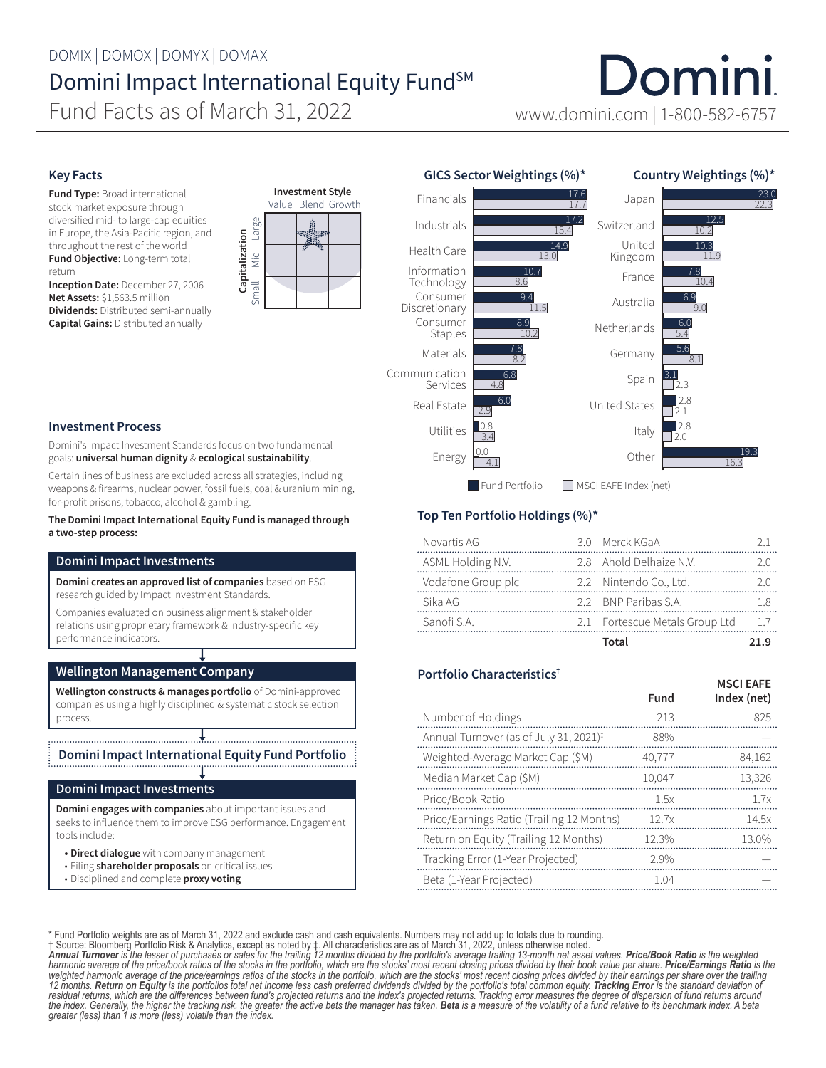Domini Fund Facts as of March 31, 2022 www.domini.com | 1-800-582-6757

Japan

Switzerland United

Country Weightings (%)\*

10.2

10.3

12.5

22.3

23.0

## Key Facts

Fund Type: Broad international stock market exposure through diversified mid- to large-cap equities in Europe, the Asia-Pacific region, and throughout the rest of the world Fund Objective: Long-term total return

Inception Date: December 27, 2006 Net Assets: \$1,563.5 million Dividends: Distributed semi-annually Capital Gains: Distributed annually





17.7

17.6 17.2

15.4

14.9

### Investment Process

Domini's Impact Investment Standards focus on two fundamental goals: universal human dignity & ecological sustainability.

Certain lines of business are excluded across all strategies, including weapons & firearms, nuclear power, fossil fuels, coal & uranium mining, for-profit prisons, tobacco, alcohol & gambling.

The Domini Impact International Equity Fund is managed through a two-step process:

## Domini Impact Investments

Domini creates an approved list of companies based on ESG research guided by Impact Investment Standards.

Companies evaluated on business alignment & stakeholder relations using proprietary framework & industry-specific key performance indicators.

## Wellington Management Company

Wellington constructs & manages portfolio of Domini-approved companies using a highly disciplined & systematic stock selection process.

Domini Impact International Equity Fund Portfolio

### Domini Impact Investments

Domini engages with companies about important issues and seeks to influence them to improve ESG performance. Engagement tools include:

- Direct dialogue with company management
- Filing shareholder proposals on critical issues
- Disciplined and complete proxy voting

# Top Ten Portfolio Holdings (%)\*

GICS Sector Weightings (%)\*

Financials Industrials Health Care

| Novartis AG        | 3.0 Merck KGaA                 |  |
|--------------------|--------------------------------|--|
| ASML Holding N.V.  | 2.8 Ahold Delhaize N.V.        |  |
| Vodafone Group plc | 2.2 Nintendo Co., Ltd.         |  |
| Sika AG            | 22 BNP Paribas S A             |  |
| Sanofi S A         | 2.1 Fortescue Metals Group Ltd |  |
|                    | Total                          |  |

MSCI EAEE

# Portfolio Characteristics†

|                                                    | Fund   | .<br>Index (net) |
|----------------------------------------------------|--------|------------------|
| Number of Holdings                                 | 213    | 825              |
| Annual Turnover (as of July 31, 2021) <sup>‡</sup> | 88%    |                  |
| Weighted-Average Market Cap (\$M)                  | 40,777 | 84,162           |
| Median Market Cap (\$M)                            | 10.047 | 13,326           |
| Price/Book Ratio                                   | 1.5x   | 1.7x             |
| Price/Earnings Ratio (Trailing 12 Months)          | 12.7x  | 14.5x            |
| Return on Equity (Trailing 12 Months)              | 12.3%  | 13.0%            |
| Tracking Error (1-Year Projected)                  | 2.9%   |                  |
| Beta (1-Year Projected)                            | 1.04   |                  |

\* Fund Portfolio weights are as of March 31, 2022 and exclude cash and cash equivalents. Numbers may not add up to totals due to rounding.<br>1 Source: Bloomberg Portfolio Risk & Analytics, except as noted by 1. All character *12 months. Return on Equity is the portfolios total net income less cash preferred dividends divided by the portfolio's total common equity. Tracking Error is the standard deviation of*  residual returns, which are the differences between fund's projected returns and the index's projected returns. Tracking error measures the degree of dispersion of fund returns around<br>the index. Generally, the higher the t